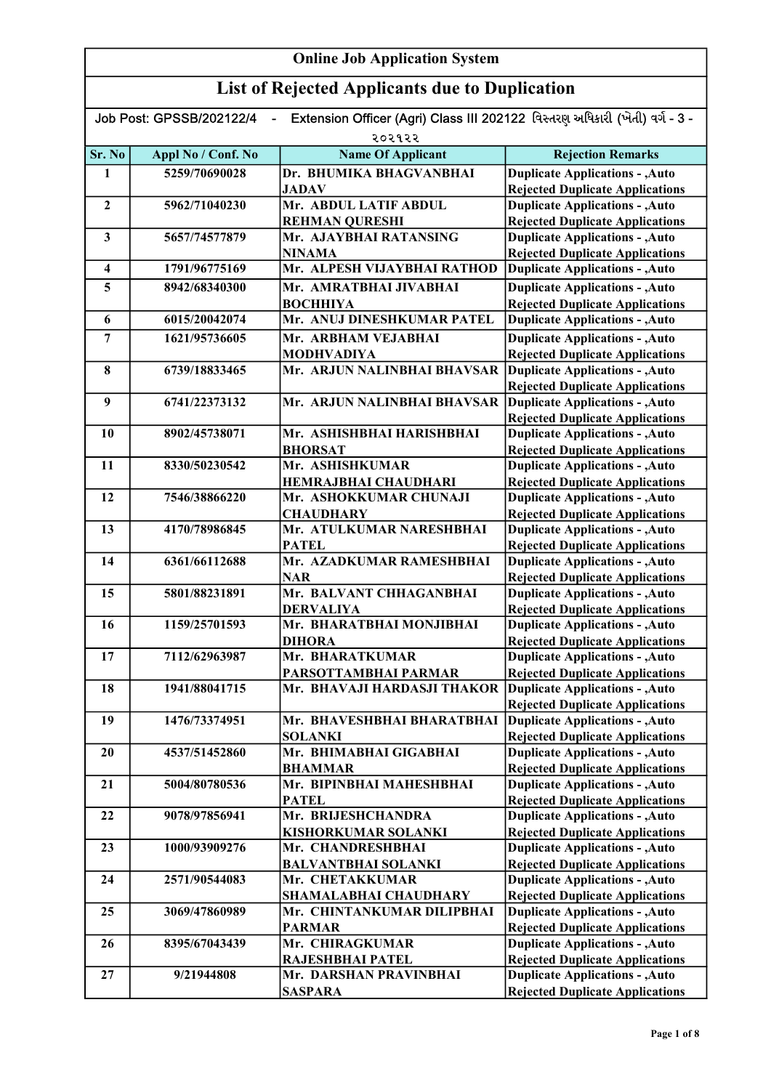| Extension Officer (Agri) Class III 202122 વિસ્તરણ અધિકારી (ખેતી) વર્ગ - 3 -<br>Job Post: GPSSB/202122/4<br>$\blacksquare$ |                    |                                                             |                                                                                  |
|---------------------------------------------------------------------------------------------------------------------------|--------------------|-------------------------------------------------------------|----------------------------------------------------------------------------------|
| ૨૦૨૧૨૨                                                                                                                    |                    |                                                             |                                                                                  |
| Sr. No                                                                                                                    | Appl No / Conf. No | <b>Name Of Applicant</b>                                    | <b>Rejection Remarks</b>                                                         |
| $\mathbf{1}$                                                                                                              | 5259/70690028      | Dr. BHUMIKA BHAGVANBHAI                                     | <b>Duplicate Applications - , Auto</b>                                           |
|                                                                                                                           |                    | <b>JADAV</b>                                                | <b>Rejected Duplicate Applications</b>                                           |
| $\overline{2}$                                                                                                            | 5962/71040230      | Mr. ABDUL LATIF ABDUL                                       | <b>Duplicate Applications - , Auto</b>                                           |
|                                                                                                                           |                    | <b>REHMAN QURESHI</b>                                       | <b>Rejected Duplicate Applications</b>                                           |
| $\mathbf{3}$                                                                                                              | 5657/74577879      | Mr. AJAYBHAI RATANSING                                      | <b>Duplicate Applications - , Auto</b>                                           |
|                                                                                                                           |                    | <b>NINAMA</b>                                               | <b>Rejected Duplicate Applications</b>                                           |
| $\overline{\mathbf{4}}$                                                                                                   | 1791/96775169      | Mr. ALPESH VIJAYBHAI RATHOD                                 | <b>Duplicate Applications - , Auto</b>                                           |
| 5                                                                                                                         | 8942/68340300      | Mr. AMRATBHAI JIVABHAI                                      | <b>Duplicate Applications - , Auto</b>                                           |
|                                                                                                                           |                    | <b>ВОСННІҮА</b>                                             | <b>Rejected Duplicate Applications</b>                                           |
| 6                                                                                                                         | 6015/20042074      | Mr. ANUJ DINESHKUMAR PATEL                                  | <b>Duplicate Applications - , Auto</b>                                           |
| 7                                                                                                                         | 1621/95736605      | Mr. ARBHAM VEJABHAI                                         | <b>Duplicate Applications - , Auto</b>                                           |
|                                                                                                                           |                    | <b>MODHVADIYA</b>                                           | <b>Rejected Duplicate Applications</b>                                           |
| 8                                                                                                                         | 6739/18833465      | Mr. ARJUN NALINBHAI BHAVSAR                                 | Duplicate Applications - , Auto                                                  |
|                                                                                                                           |                    |                                                             | <b>Rejected Duplicate Applications</b>                                           |
| 9                                                                                                                         | 6741/22373132      | Mr. ARJUN NALINBHAI BHAVSAR                                 | <b>Duplicate Applications - , Auto</b>                                           |
|                                                                                                                           |                    |                                                             | <b>Rejected Duplicate Applications</b>                                           |
| 10                                                                                                                        | 8902/45738071      | Mr. ASHISHBHAI HARISHBHAI                                   | <b>Duplicate Applications - , Auto</b>                                           |
|                                                                                                                           |                    | <b>BHORSAT</b>                                              | <b>Rejected Duplicate Applications</b>                                           |
| 11                                                                                                                        | 8330/50230542      | Mr. ASHISHKUMAR                                             | <b>Duplicate Applications - , Auto</b>                                           |
|                                                                                                                           |                    | <b>HEMRAJBHAI CHAUDHARI</b>                                 | <b>Rejected Duplicate Applications</b>                                           |
| 12                                                                                                                        | 7546/38866220      | Mr. ASHOKKUMAR CHUNAJI                                      | <b>Duplicate Applications - , Auto</b>                                           |
|                                                                                                                           |                    | <b>CHAUDHARY</b>                                            | <b>Rejected Duplicate Applications</b>                                           |
| 13                                                                                                                        | 4170/78986845      | Mr. ATULKUMAR NARESHBHAI                                    | <b>Duplicate Applications - , Auto</b>                                           |
|                                                                                                                           |                    | <b>PATEL</b>                                                | <b>Rejected Duplicate Applications</b>                                           |
| 14                                                                                                                        | 6361/66112688      | Mr. AZADKUMAR RAMESHBHAI<br><b>NAR</b>                      | <b>Duplicate Applications - , Auto</b><br><b>Rejected Duplicate Applications</b> |
| 15                                                                                                                        | 5801/88231891      | Mr. BALVANT CHHAGANBHAI                                     | <b>Duplicate Applications - , Auto</b>                                           |
|                                                                                                                           |                    | <b>DERVALIYA</b>                                            | <b>Rejected Duplicate Applications</b>                                           |
| 16                                                                                                                        | 1159/25701593      | Mr. BHARATBHAI MONJIBHAI                                    | <b>Duplicate Applications - , Auto</b>                                           |
|                                                                                                                           |                    | <b>DIHORA</b>                                               | <b>Rejected Duplicate Applications</b>                                           |
| 17                                                                                                                        | 7112/62963987      | Mr. BHARATKUMAR                                             | <b>Duplicate Applications - , Auto</b>                                           |
|                                                                                                                           |                    | PARSOTTAMBHAI PARMAR                                        | <b>Rejected Duplicate Applications</b>                                           |
| 18                                                                                                                        | 1941/88041715      | Mr. BHAVAJI HARDASJI THAKOR Duplicate Applications - , Auto |                                                                                  |
|                                                                                                                           |                    |                                                             | <b>Rejected Duplicate Applications</b>                                           |
| 19                                                                                                                        | 1476/73374951      | Mr. BHAVESHBHAI BHARATBHAI                                  | Duplicate Applications - , Auto                                                  |
|                                                                                                                           |                    | <b>SOLANKI</b>                                              | <b>Rejected Duplicate Applications</b>                                           |
| 20                                                                                                                        | 4537/51452860      | Mr. BHIMABHAI GIGABHAI                                      | <b>Duplicate Applications - , Auto</b>                                           |
|                                                                                                                           |                    | <b>BHAMMAR</b>                                              | <b>Rejected Duplicate Applications</b>                                           |
| 21                                                                                                                        | 5004/80780536      | Mr. BIPINBHAI MAHESHBHAI                                    | <b>Duplicate Applications - , Auto</b>                                           |
|                                                                                                                           |                    | <b>PATEL</b>                                                | <b>Rejected Duplicate Applications</b>                                           |
| 22                                                                                                                        | 9078/97856941      | Mr. BRIJESHCHANDRA                                          | <b>Duplicate Applications - , Auto</b>                                           |
|                                                                                                                           |                    | KISHORKUMAR SOLANKI                                         | <b>Rejected Duplicate Applications</b>                                           |
| 23                                                                                                                        | 1000/93909276      | Mr. CHANDRESHBHAI                                           | <b>Duplicate Applications - , Auto</b>                                           |
|                                                                                                                           |                    | <b>BALVANTBHAI SOLANKI</b>                                  | <b>Rejected Duplicate Applications</b>                                           |
| 24                                                                                                                        | 2571/90544083      | Mr. CHETAKKUMAR                                             | <b>Duplicate Applications - , Auto</b>                                           |
|                                                                                                                           |                    | SHAMALABHAI CHAUDHARY                                       | <b>Rejected Duplicate Applications</b>                                           |
| 25                                                                                                                        | 3069/47860989      | Mr. CHINTANKUMAR DILIPBHAI                                  | <b>Duplicate Applications - , Auto</b>                                           |
|                                                                                                                           |                    | <b>PARMAR</b>                                               | <b>Rejected Duplicate Applications</b>                                           |
| 26                                                                                                                        | 8395/67043439      | Mr. CHIRAGKUMAR                                             | <b>Duplicate Applications - , Auto</b>                                           |
|                                                                                                                           |                    | RAJESHBHAI PATEL                                            | <b>Rejected Duplicate Applications</b>                                           |
| 27                                                                                                                        | 9/21944808         | Mr. DARSHAN PRAVINBHAI                                      | <b>Duplicate Applications - , Auto</b>                                           |
|                                                                                                                           |                    | <b>SASPARA</b>                                              | <b>Rejected Duplicate Applications</b>                                           |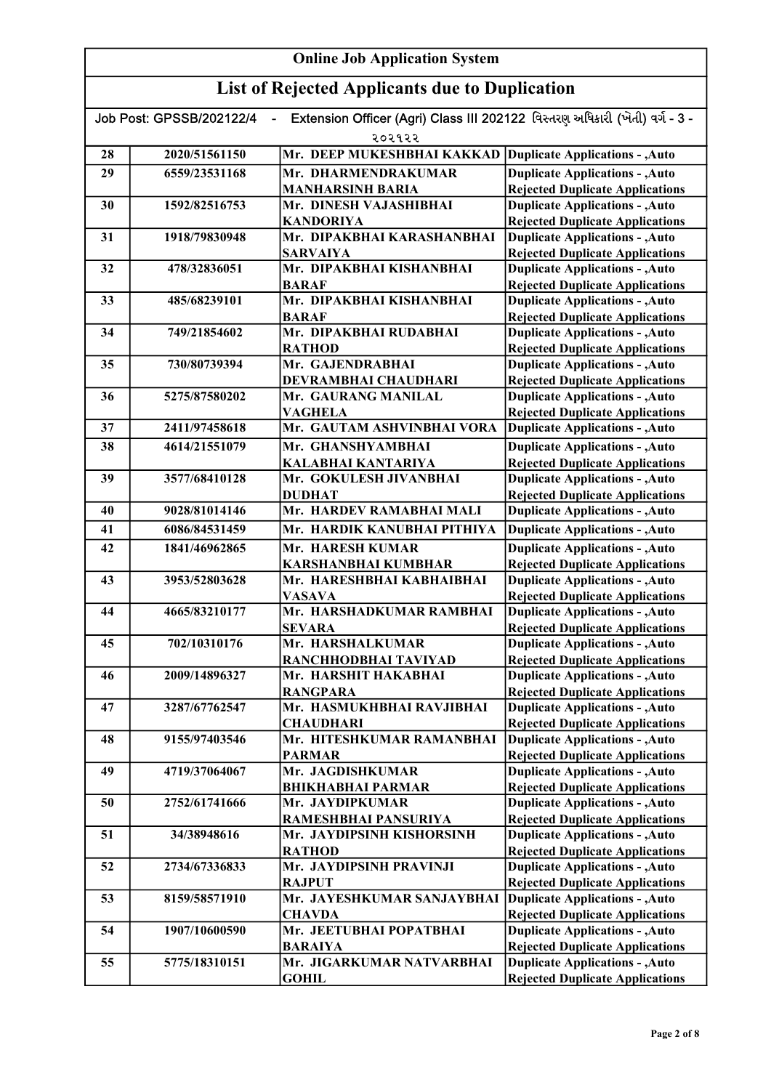#### Online Job Application System List of Rejected Applicants due to Duplication Job Post: GPSSB/202122/4 - Extension Officer (Agri) Class III 202122 વિસ્તરણ અધિકારી (ખેતી) વર્ગ - 3 -૨૦૨૧૨૨ 28 2020/51561150 Mr. DEEP MUKESHBHAI KAKKAD 29 6559/23531168 Mr. DHARMENDRAKUMAR MANHARSINH BARIA 30 1592/82516753 Mr. DINESH VAJASHIBHAI KANDORIYA 31 1918/79830948 Mr. DIPAKBHAI KARASHANBHAI SARVAIYA 32 478/32836051 Mr. DIPAKBHAI KISHANBHAI BARAF 33 485/68239101 Mr. DIPAKBHAI KISHANBHAI BARAF 34 749/21854602 Mr. DIPAKBHAI RUDABHAI RATHOD 35 730/80739394 Mr. GAJENDRABHAI DEVRAMBHAI CHAUDHARI 36 5275/87580202 Mr. GAURANG MANILAL VAGHELA 37 2411/97458618 Mr. GAUTAM ASHVINBHAI VORA 38 4614/21551079 Mr. GHANSHYAMBHAI KALABHAI KANTARIYA 39 3577/68410128 Mr. GOKULESH JIVANBHAI DUDHAT 40 9028/81014146 Mr. HARDEV RAMABHAI MALI 41 6086/84531459 Mr. HARDIK KANUBHAI PITHIYA 42 1841/46962865 Mr. HARESH KUMAR KARSHANBHAI KUMBHAR 43 3953/52803628 Mr. HARESHBHAI KABHAIBHAI VASAVA 44 4665/83210177 Mr. HARSHADKUMAR RAMBHAI **SEVARA** 45 702/10310176 Mr. HARSHALKUMAR RANCHHODBHAI TAVIYAD 46 2009/14896327 Mr. HARSHIT HAKABHAI RANGPARA 47 3287/67762547 Mr. HASMUKHBHAI RAVJIBHAI **CHAUDHARI** 48 9155/97403546 Mr. HITESHKUMAR RAMANBHAI PARMAR 49 4719/37064067 Mr. JAGDISHKUMAR BHIKHABHAI PARMAR 50 2752/61741666 Mr. JAYDIPKUMAR RAMESHBHAI PANSURIYA 51 34/38948616 Mr. JAYDIPSINH KISHORSINH RATHOD 52 2734/67336833 Mr. JAYDIPSINH PRAVINJI **RAJPUT** 53 8159/58571910 Mr. JAYESHKUMAR SANJAYBHAI **CHAVDA** 54 1907/10600590 Mr. JEETUBHAI POPATBHAI BARAIYA 55 5775/18310151 Mr. JIGARKUMAR NATVARBHAI Duplicate Applications - ,Auto Duplicate Applications - ,Auto Rejected Duplicate Applications Duplicate Applications - ,Auto Rejected Duplicate Applications Duplicate Applications - ,Auto Rejected Duplicate Applications Duplicate Applications - ,Auto Rejected Duplicate Applications Duplicate Applications - ,Auto Rejected Duplicate Applications Duplicate Applications - ,Auto Rejected Duplicate Applications Duplicate Applications - ,Auto Rejected Duplicate Applications Duplicate Applications - ,Auto Rejected Duplicate Applications Duplicate Applications - ,Auto Rejected Duplicate Applications Duplicate Applications - ,Auto Rejected Duplicate Applications Duplicate Applications - ,Auto Rejected Duplicate Applications Duplicate Applications - ,Auto Rejected Duplicate Applications Duplicate Applications - ,Auto **Duplicate Applications - ,Auto** Rejected Duplicate Applications Duplicate Applications - ,Auto Rejected Duplicate Applications Duplicate Applications - ,Auto **Duplicate Applications - ,Auto Duplicate Applications - ,Auto** Rejected Duplicate Applications Duplicate Applications - ,Auto Rejected Duplicate Applications Duplicate Applications - ,Auto Rejected Duplicate Applications Duplicate Applications - ,Auto Rejected Duplicate Applications Duplicate Applications - ,Auto Rejected Duplicate Applications Duplicate Applications - ,Auto Rejected Duplicate Applications Duplicate Applications - ,Auto Rejected Duplicate Applications Duplicate Applications - ,Auto **Duplicate Applications - ,Auto** Rejected Duplicate Applications Duplicate Applications - ,Auto Rejected Duplicate Applications

**GOHIL** 

Rejected Duplicate Applications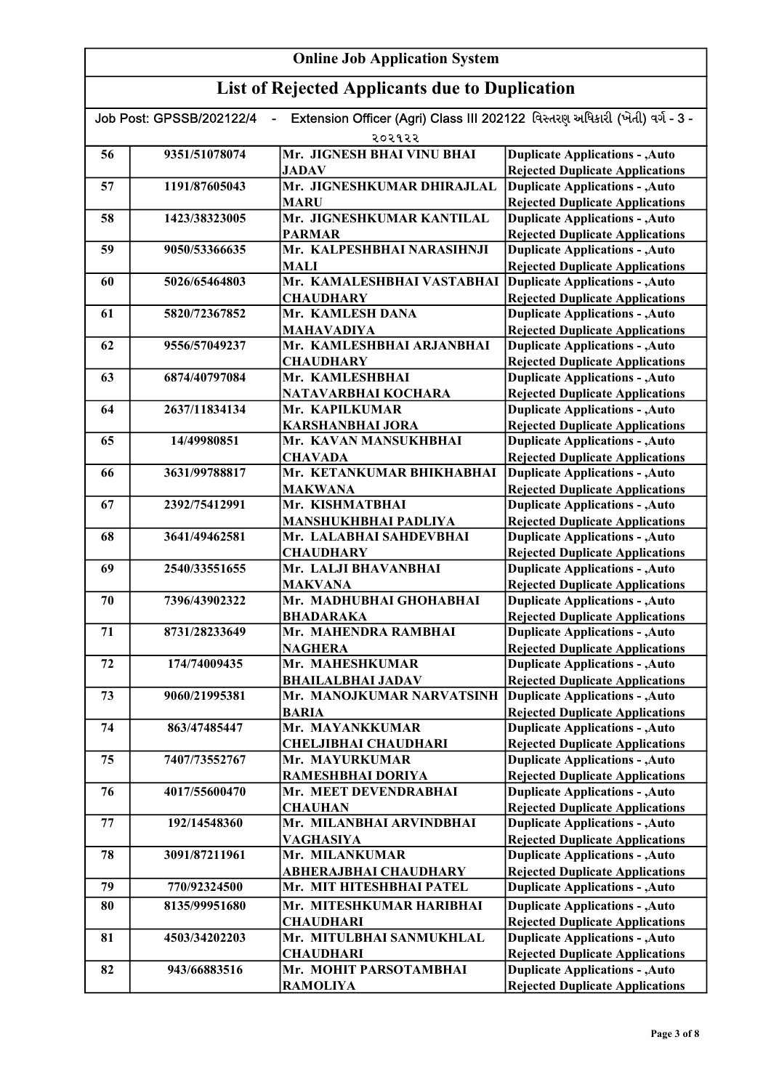| Extension Officer (Agri) Class III 202122 વિસ્તરણ અધિકારી (ખેતી) વર્ગ - 3 -<br>Job Post: GPSSB/202122/4<br>$\overline{\phantom{0}}$ |               |                                                |                                                                                  |
|-------------------------------------------------------------------------------------------------------------------------------------|---------------|------------------------------------------------|----------------------------------------------------------------------------------|
|                                                                                                                                     |               | २०२१२२                                         |                                                                                  |
| 56                                                                                                                                  | 9351/51078074 | Mr. JIGNESH BHAI VINU BHAI                     | <b>Duplicate Applications - , Auto</b>                                           |
|                                                                                                                                     |               | <b>JADAV</b>                                   | <b>Rejected Duplicate Applications</b>                                           |
| 57                                                                                                                                  | 1191/87605043 | Mr. JIGNESHKUMAR DHIRAJLAL                     | <b>Duplicate Applications - , Auto</b>                                           |
|                                                                                                                                     |               | <b>MARU</b>                                    | <b>Rejected Duplicate Applications</b>                                           |
| 58                                                                                                                                  | 1423/38323005 | Mr. JIGNESHKUMAR KANTILAL                      | <b>Duplicate Applications - , Auto</b>                                           |
|                                                                                                                                     |               | <b>PARMAR</b>                                  | <b>Rejected Duplicate Applications</b>                                           |
| 59                                                                                                                                  | 9050/53366635 | Mr. KALPESHBHAI NARASIHNJI                     | <b>Duplicate Applications - , Auto</b>                                           |
|                                                                                                                                     |               | <b>MALI</b>                                    | <b>Rejected Duplicate Applications</b>                                           |
| 60                                                                                                                                  | 5026/65464803 | Mr. KAMALESHBHAI VASTABHAI                     | <b>Duplicate Applications - , Auto</b>                                           |
|                                                                                                                                     |               | <b>CHAUDHARY</b><br>Mr. KAMLESH DANA           | <b>Rejected Duplicate Applications</b>                                           |
| 61                                                                                                                                  | 5820/72367852 |                                                | <b>Duplicate Applications - , Auto</b>                                           |
| 62                                                                                                                                  | 9556/57049237 | <b>MAHAVADIYA</b><br>Mr. KAMLESHBHAI ARJANBHAI | <b>Rejected Duplicate Applications</b><br><b>Duplicate Applications - , Auto</b> |
|                                                                                                                                     |               | <b>CHAUDHARY</b>                               | <b>Rejected Duplicate Applications</b>                                           |
| 63                                                                                                                                  | 6874/40797084 | Mr. KAMLESHBHAI                                | <b>Duplicate Applications - , Auto</b>                                           |
|                                                                                                                                     |               | NATAVARBHAI KOCHARA                            | <b>Rejected Duplicate Applications</b>                                           |
| 64                                                                                                                                  | 2637/11834134 | Mr. KAPILKUMAR                                 | <b>Duplicate Applications - , Auto</b>                                           |
|                                                                                                                                     |               | <b>KARSHANBHAI JORA</b>                        | <b>Rejected Duplicate Applications</b>                                           |
| 65                                                                                                                                  | 14/49980851   | Mr. KAVAN MANSUKHBHAI                          | <b>Duplicate Applications - , Auto</b>                                           |
|                                                                                                                                     |               | <b>CHAVADA</b>                                 | <b>Rejected Duplicate Applications</b>                                           |
| 66                                                                                                                                  | 3631/99788817 | Mr. KETANKUMAR BHIKHABHAI                      | <b>Duplicate Applications - , Auto</b>                                           |
|                                                                                                                                     |               | <b>MAKWANA</b>                                 | <b>Rejected Duplicate Applications</b>                                           |
| 67                                                                                                                                  | 2392/75412991 | Mr. KISHMATBHAI                                | <b>Duplicate Applications - , Auto</b>                                           |
|                                                                                                                                     |               | <b>MANSHUKHBHAI PADLIYA</b>                    | <b>Rejected Duplicate Applications</b>                                           |
| 68                                                                                                                                  | 3641/49462581 | Mr. LALABHAI SAHDEVBHAI                        | <b>Duplicate Applications - , Auto</b>                                           |
|                                                                                                                                     |               | <b>CHAUDHARY</b>                               | <b>Rejected Duplicate Applications</b>                                           |
| 69                                                                                                                                  | 2540/33551655 | Mr. LALJI BHAVANBHAI                           | <b>Duplicate Applications - , Auto</b>                                           |
|                                                                                                                                     |               | <b>MAKVANA</b>                                 | <b>Rejected Duplicate Applications</b>                                           |
| 70                                                                                                                                  | 7396/43902322 | Mr. MADHUBHAI GHOHABHAI                        | <b>Duplicate Applications - , Auto</b>                                           |
|                                                                                                                                     |               | <b>BHADARAKA</b>                               | <b>Rejected Duplicate Applications</b>                                           |
| 71                                                                                                                                  | 8731/28233649 | Mr. MAHENDRA RAMBHAI                           | <b>Duplicate Applications - , Auto</b>                                           |
|                                                                                                                                     |               | <b>NAGHERA</b>                                 | <b>Rejected Duplicate Applications</b>                                           |
| 72                                                                                                                                  | 174/74009435  | Mr. MAHESHKUMAR                                | <b>Duplicate Applications - , Auto</b>                                           |
|                                                                                                                                     |               | <b>BHAILALBHAI JADAV</b>                       | <b>Rejected Duplicate Applications</b>                                           |
| 73                                                                                                                                  | 9060/21995381 | Mr. MANOJKUMAR NARVATSINH                      | <b>Duplicate Applications - , Auto</b>                                           |
|                                                                                                                                     |               | <b>BARIA</b>                                   | <b>Rejected Duplicate Applications</b>                                           |
| 74                                                                                                                                  | 863/47485447  | Mr. MAYANKKUMAR                                | <b>Duplicate Applications - , Auto</b>                                           |
| 75                                                                                                                                  | 7407/73552767 | <b>CHELJIBHAI CHAUDHARI</b><br>Mr. MAYURKUMAR  | <b>Rejected Duplicate Applications</b>                                           |
|                                                                                                                                     |               | RAMESHBHAI DORIYA                              | <b>Duplicate Applications - , Auto</b>                                           |
| 76                                                                                                                                  | 4017/55600470 | Mr. MEET DEVENDRABHAI                          | <b>Rejected Duplicate Applications</b><br><b>Duplicate Applications - , Auto</b> |
|                                                                                                                                     |               | <b>CHAUHAN</b>                                 | <b>Rejected Duplicate Applications</b>                                           |
| 77                                                                                                                                  | 192/14548360  | Mr. MILANBHAI ARVINDBHAI                       | <b>Duplicate Applications - , Auto</b>                                           |
|                                                                                                                                     |               | <b>VAGHASIYA</b>                               | <b>Rejected Duplicate Applications</b>                                           |
| 78                                                                                                                                  | 3091/87211961 | Mr. MILANKUMAR                                 | <b>Duplicate Applications - , Auto</b>                                           |
|                                                                                                                                     |               | <b>ABHERAJBHAI CHAUDHARY</b>                   | <b>Rejected Duplicate Applications</b>                                           |
| 79                                                                                                                                  | 770/92324500  | Mr. MIT HITESHBHAI PATEL                       | <b>Duplicate Applications - , Auto</b>                                           |
| 80                                                                                                                                  | 8135/99951680 | Mr. MITESHKUMAR HARIBHAI                       | <b>Duplicate Applications - , Auto</b>                                           |
|                                                                                                                                     |               | <b>CHAUDHARI</b>                               | <b>Rejected Duplicate Applications</b>                                           |
| 81                                                                                                                                  | 4503/34202203 | Mr. MITULBHAI SANMUKHLAL                       | <b>Duplicate Applications - , Auto</b>                                           |
|                                                                                                                                     |               | <b>CHAUDHARI</b>                               | <b>Rejected Duplicate Applications</b>                                           |
| 82                                                                                                                                  | 943/66883516  | Mr. MOHIT PARSOTAMBHAI                         | <b>Duplicate Applications - , Auto</b>                                           |
|                                                                                                                                     |               | <b>RAMOLIYA</b>                                | <b>Rejected Duplicate Applications</b>                                           |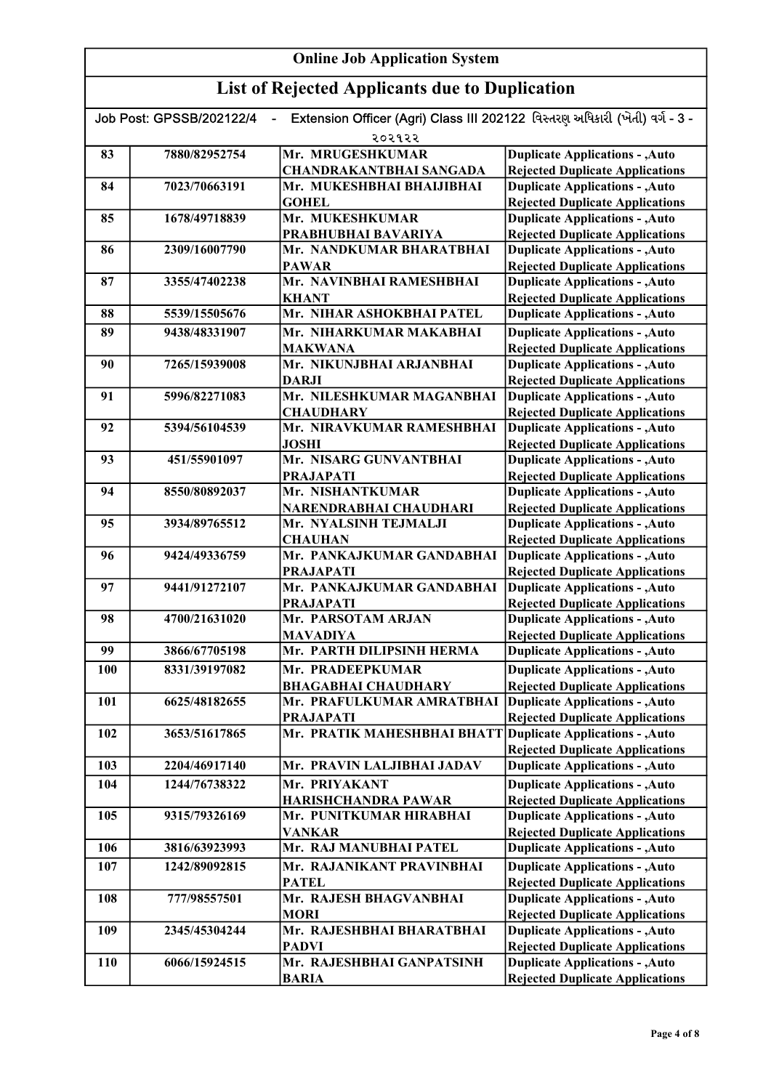| Extension Officer (Agri) Class III 202122 વિસ્તરણ અધિકારી (ખેતી) વર્ગ - 3 -<br>Job Post: GPSSB/202122/4<br>$\blacksquare$ |               |                                                             |                                                                                  |
|---------------------------------------------------------------------------------------------------------------------------|---------------|-------------------------------------------------------------|----------------------------------------------------------------------------------|
|                                                                                                                           |               | २०२१२२                                                      |                                                                                  |
| 83                                                                                                                        | 7880/82952754 | Mr. MRUGESHKUMAR                                            | <b>Duplicate Applications - , Auto</b>                                           |
|                                                                                                                           |               | <b>CHANDRAKANTBHAI SANGADA</b>                              | <b>Rejected Duplicate Applications</b>                                           |
| 84                                                                                                                        | 7023/70663191 | Mr. MUKESHBHAI BHAIJIBHAI                                   | <b>Duplicate Applications - , Auto</b>                                           |
|                                                                                                                           |               | <b>GOHEL</b>                                                | <b>Rejected Duplicate Applications</b>                                           |
| 85                                                                                                                        | 1678/49718839 | Mr. MUKESHKUMAR                                             | <b>Duplicate Applications - , Auto</b>                                           |
|                                                                                                                           |               | PRABHUBHAI BAVARIYA                                         | <b>Rejected Duplicate Applications</b>                                           |
| 86                                                                                                                        | 2309/16007790 | Mr. NANDKUMAR BHARATBHAI                                    | <b>Duplicate Applications - , Auto</b>                                           |
|                                                                                                                           |               | <b>PAWAR</b>                                                | <b>Rejected Duplicate Applications</b>                                           |
| 87                                                                                                                        | 3355/47402238 | Mr. NAVINBHAI RAMESHBHAI                                    | <b>Duplicate Applications - , Auto</b>                                           |
|                                                                                                                           |               | <b>KHANT</b>                                                | <b>Rejected Duplicate Applications</b>                                           |
| 88                                                                                                                        | 5539/15505676 | Mr. NIHAR ASHOKBHAI PATEL                                   | <b>Duplicate Applications - , Auto</b>                                           |
| 89                                                                                                                        | 9438/48331907 | Mr. NIHARKUMAR MAKABHAI                                     | <b>Duplicate Applications - , Auto</b>                                           |
|                                                                                                                           |               | <b>MAKWANA</b>                                              | <b>Rejected Duplicate Applications</b>                                           |
| 90                                                                                                                        | 7265/15939008 | Mr. NIKUNJBHAI ARJANBHAI                                    | <b>Duplicate Applications - , Auto</b>                                           |
|                                                                                                                           |               | <b>DARJI</b>                                                | <b>Rejected Duplicate Applications</b>                                           |
| 91                                                                                                                        | 5996/82271083 | Mr. NILESHKUMAR MAGANBHAI                                   | <b>Duplicate Applications - , Auto</b>                                           |
|                                                                                                                           |               | <b>CHAUDHARY</b>                                            | <b>Rejected Duplicate Applications</b>                                           |
| 92                                                                                                                        | 5394/56104539 | Mr. NIRAVKUMAR RAMESHBHAI                                   | <b>Duplicate Applications - , Auto</b>                                           |
|                                                                                                                           |               | <b>JOSHI</b>                                                | <b>Rejected Duplicate Applications</b>                                           |
| 93                                                                                                                        | 451/55901097  | Mr. NISARG GUNVANTBHAI                                      | <b>Duplicate Applications - , Auto</b>                                           |
|                                                                                                                           |               | <b>PRAJAPATI</b>                                            | <b>Rejected Duplicate Applications</b>                                           |
| 94                                                                                                                        | 8550/80892037 | Mr. NISHANTKUMAR                                            | <b>Duplicate Applications - , Auto</b>                                           |
|                                                                                                                           |               | NARENDRABHAI CHAUDHARI                                      | <b>Rejected Duplicate Applications</b>                                           |
| 95                                                                                                                        | 3934/89765512 | Mr. NYALSINH TEJMALJI                                       | <b>Duplicate Applications - , Auto</b>                                           |
| 96                                                                                                                        | 9424/49336759 | <b>CHAUHAN</b><br>Mr. PANKAJKUMAR GANDABHAI                 | <b>Rejected Duplicate Applications</b><br><b>Duplicate Applications - , Auto</b> |
|                                                                                                                           |               | <b>PRAJAPATI</b>                                            |                                                                                  |
| 97                                                                                                                        | 9441/91272107 | Mr. PANKAJKUMAR GANDABHAI                                   | <b>Rejected Duplicate Applications</b><br><b>Duplicate Applications - , Auto</b> |
|                                                                                                                           |               | <b>PRAJAPATI</b>                                            | <b>Rejected Duplicate Applications</b>                                           |
| 98                                                                                                                        | 4700/21631020 | Mr. PARSOTAM ARJAN                                          | <b>Duplicate Applications - , Auto</b>                                           |
|                                                                                                                           |               | <b>MAVADIYA</b>                                             | <b>Rejected Duplicate Applications</b>                                           |
| 99                                                                                                                        | 3866/67705198 | Mr. PARTH DILIPSINH HERMA                                   | <b>Duplicate Applications - , Auto</b>                                           |
| 100                                                                                                                       | 8331/39197082 | Mr. PRADEEPKUMAR                                            |                                                                                  |
|                                                                                                                           |               |                                                             | <b>Duplicate Applications - , Auto</b>                                           |
| 101                                                                                                                       | 6625/48182655 | <b>BHAGABHAI CHAUDHARY</b><br>Mr. PRAFULKUMAR AMRATBHAI     | <b>Rejected Duplicate Applications</b><br><b>Duplicate Applications - , Auto</b> |
|                                                                                                                           |               | <b>PRAJAPATI</b>                                            | <b>Rejected Duplicate Applications</b>                                           |
| 102                                                                                                                       | 3653/51617865 | Mr. PRATIK MAHESHBHAI BHATT Duplicate Applications - , Auto |                                                                                  |
|                                                                                                                           |               |                                                             | <b>Rejected Duplicate Applications</b>                                           |
| 103                                                                                                                       | 2204/46917140 | Mr. PRAVIN LALJIBHAI JADAV                                  | <b>Duplicate Applications - , Auto</b>                                           |
|                                                                                                                           |               |                                                             |                                                                                  |
| 104                                                                                                                       | 1244/76738322 | Mr. PRIYAKANT                                               | <b>Duplicate Applications - , Auto</b>                                           |
| 105                                                                                                                       | 9315/79326169 | HARISHCHANDRA PAWAR<br>Mr. PUNITKUMAR HIRABHAI              | <b>Rejected Duplicate Applications</b><br><b>Duplicate Applications - , Auto</b> |
|                                                                                                                           |               | <b>VANKAR</b>                                               | <b>Rejected Duplicate Applications</b>                                           |
| 106                                                                                                                       | 3816/63923993 | Mr. RAJ MANUBHAI PATEL                                      | <b>Duplicate Applications - , Auto</b>                                           |
|                                                                                                                           |               |                                                             |                                                                                  |
| 107                                                                                                                       | 1242/89092815 | Mr. RAJANIKANT PRAVINBHAI                                   | <b>Duplicate Applications - , Auto</b>                                           |
|                                                                                                                           |               | <b>PATEL</b>                                                | <b>Rejected Duplicate Applications</b>                                           |
| 108                                                                                                                       | 777/98557501  | Mr. RAJESH BHAGVANBHAI                                      | <b>Duplicate Applications - , Auto</b>                                           |
| 109                                                                                                                       | 2345/45304244 | <b>MORI</b><br>Mr. RAJESHBHAI BHARATBHAI                    | <b>Rejected Duplicate Applications</b><br><b>Duplicate Applications - , Auto</b> |
|                                                                                                                           |               | <b>PADVI</b>                                                | <b>Rejected Duplicate Applications</b>                                           |
| 110                                                                                                                       | 6066/15924515 | Mr. RAJESHBHAI GANPATSINH                                   | <b>Duplicate Applications - , Auto</b>                                           |
|                                                                                                                           |               | <b>BARIA</b>                                                | <b>Rejected Duplicate Applications</b>                                           |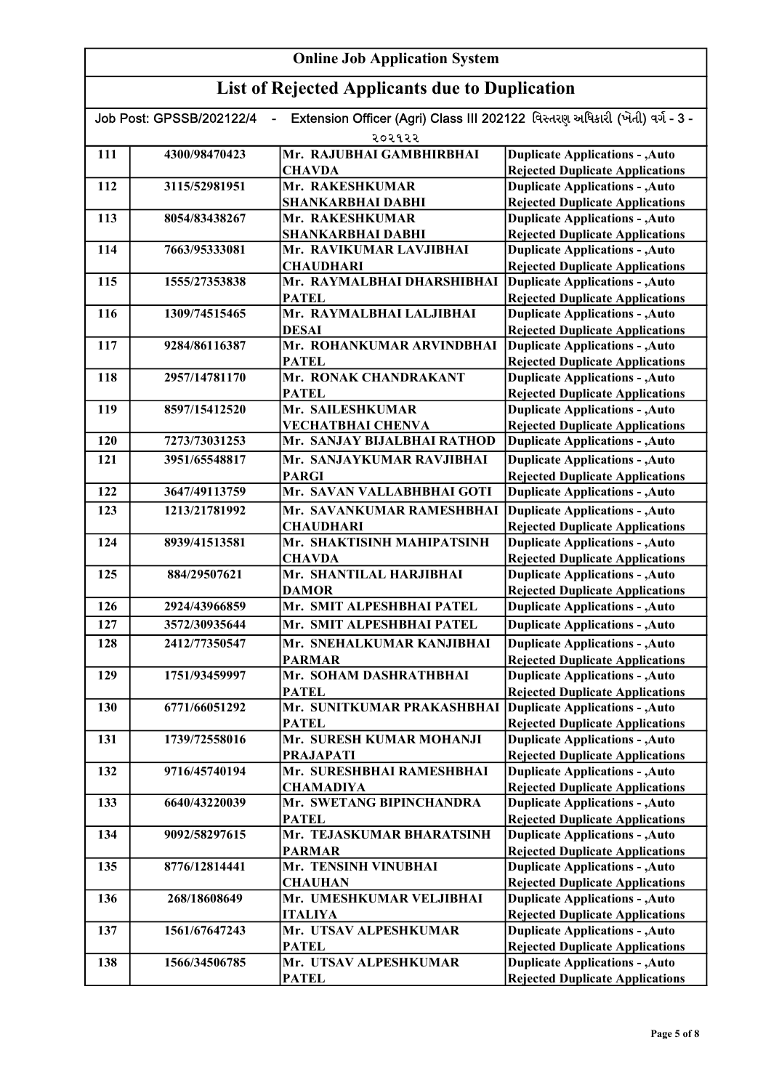| Extension Officer (Agri) Class III 202122 વિસ્તરણ અધિકારી (ખેતી) વર્ગ - 3 -<br>Job Post: GPSSB/202122/4 |               |                                                |                                                                                  |
|---------------------------------------------------------------------------------------------------------|---------------|------------------------------------------------|----------------------------------------------------------------------------------|
|                                                                                                         |               | २०२१२२                                         |                                                                                  |
| 111                                                                                                     | 4300/98470423 | Mr. RAJUBHAI GAMBHIRBHAI                       | <b>Duplicate Applications - , Auto</b>                                           |
|                                                                                                         |               | <b>CHAVDA</b>                                  | <b>Rejected Duplicate Applications</b>                                           |
| 112                                                                                                     | 3115/52981951 | Mr. RAKESHKUMAR                                | <b>Duplicate Applications - , Auto</b>                                           |
| 113                                                                                                     |               | <b>SHANKARBHAI DABHI</b>                       | <b>Rejected Duplicate Applications</b>                                           |
|                                                                                                         | 8054/83438267 | Mr. RAKESHKUMAR                                | <b>Duplicate Applications - , Auto</b>                                           |
|                                                                                                         |               | <b>SHANKARBHAI DABHI</b>                       | <b>Rejected Duplicate Applications</b>                                           |
| 114                                                                                                     | 7663/95333081 | Mr. RAVIKUMAR LAVJIBHAI                        | <b>Duplicate Applications - , Auto</b>                                           |
|                                                                                                         |               | <b>CHAUDHARI</b>                               | <b>Rejected Duplicate Applications</b>                                           |
| 115                                                                                                     | 1555/27353838 | Mr. RAYMALBHAI DHARSHIBHAI<br><b>PATEL</b>     | <b>Duplicate Applications - , Auto</b><br><b>Rejected Duplicate Applications</b> |
| 116                                                                                                     | 1309/74515465 | Mr. RAYMALBHAI LALJIBHAI                       | <b>Duplicate Applications - , Auto</b>                                           |
|                                                                                                         |               | <b>DESAI</b>                                   | <b>Rejected Duplicate Applications</b>                                           |
| 117                                                                                                     | 9284/86116387 | Mr. ROHANKUMAR ARVINDBHAI                      | <b>Duplicate Applications - , Auto</b>                                           |
|                                                                                                         |               | <b>PATEL</b>                                   | <b>Rejected Duplicate Applications</b>                                           |
| 118                                                                                                     | 2957/14781170 | Mr. RONAK CHANDRAKANT                          | <b>Duplicate Applications - , Auto</b>                                           |
|                                                                                                         |               | <b>PATEL</b>                                   | <b>Rejected Duplicate Applications</b>                                           |
| 119                                                                                                     | 8597/15412520 | Mr. SAILESHKUMAR                               | <b>Duplicate Applications - , Auto</b>                                           |
|                                                                                                         |               | <b>VECHATBHAI CHENVA</b>                       | <b>Rejected Duplicate Applications</b>                                           |
| 120                                                                                                     | 7273/73031253 | Mr. SANJAY BIJALBHAI RATHOD                    | <b>Duplicate Applications - , Auto</b>                                           |
| 121                                                                                                     | 3951/65548817 | Mr. SANJAYKUMAR RAVJIBHAI                      | <b>Duplicate Applications - , Auto</b>                                           |
|                                                                                                         |               | <b>PARGI</b>                                   | <b>Rejected Duplicate Applications</b>                                           |
| 122                                                                                                     | 3647/49113759 | Mr. SAVAN VALLABHBHAI GOTI                     | <b>Duplicate Applications - , Auto</b>                                           |
| 123                                                                                                     | 1213/21781992 | Mr. SAVANKUMAR RAMESHBHAI                      | <b>Duplicate Applications - , Auto</b>                                           |
|                                                                                                         |               |                                                |                                                                                  |
| 124                                                                                                     | 8939/41513581 | <b>CHAUDHARI</b><br>Mr. SHAKTISINH MAHIPATSINH | <b>Rejected Duplicate Applications</b><br><b>Duplicate Applications - , Auto</b> |
|                                                                                                         |               | <b>CHAVDA</b>                                  | <b>Rejected Duplicate Applications</b>                                           |
| 125                                                                                                     | 884/29507621  | Mr. SHANTILAL HARJIBHAI                        | <b>Duplicate Applications - , Auto</b>                                           |
|                                                                                                         |               | <b>DAMOR</b>                                   | <b>Rejected Duplicate Applications</b>                                           |
| 126                                                                                                     | 2924/43966859 | Mr. SMIT ALPESHBHAI PATEL                      | <b>Duplicate Applications - , Auto</b>                                           |
| 127                                                                                                     |               | Mr. SMIT ALPESHBHAI PATEL                      |                                                                                  |
|                                                                                                         | 3572/30935644 |                                                | <b>Duplicate Applications - , Auto</b>                                           |
| 128                                                                                                     | 2412/77350547 | Mr. SNEHALKUMAR KANJIBHAI                      | <b>Duplicate Applications - , Auto</b>                                           |
|                                                                                                         |               | <b>PARMAR</b>                                  | <b>Rejected Duplicate Applications</b>                                           |
| 129                                                                                                     | 1751/93459997 | Mr. SOHAM DASHRATHBHAI                         | <b>Duplicate Applications - , Auto</b>                                           |
|                                                                                                         |               | <b>PATEL</b>                                   | <b>Rejected Duplicate Applications</b>                                           |
| 130                                                                                                     | 6771/66051292 | Mr. SUNITKUMAR PRAKASHBHAI                     | <b>Duplicate Applications - , Auto</b>                                           |
|                                                                                                         |               | <b>PATEL</b><br>Mr. SURESH KUMAR MOHANJI       | <b>Rejected Duplicate Applications</b>                                           |
| 131                                                                                                     | 1739/72558016 |                                                | <b>Duplicate Applications - , Auto</b>                                           |
|                                                                                                         |               | <b>PRAJAPATI</b><br>Mr. SURESHBHAI RAMESHBHAI  | <b>Rejected Duplicate Applications</b><br><b>Duplicate Applications - , Auto</b> |
| 132                                                                                                     | 9716/45740194 |                                                |                                                                                  |
| 133                                                                                                     | 6640/43220039 | <b>CHAMADIYA</b><br>Mr. SWETANG BIPINCHANDRA   | <b>Rejected Duplicate Applications</b><br><b>Duplicate Applications - , Auto</b> |
|                                                                                                         |               | <b>PATEL</b>                                   | <b>Rejected Duplicate Applications</b>                                           |
| 134                                                                                                     | 9092/58297615 | Mr. TEJASKUMAR BHARATSINH                      | <b>Duplicate Applications - , Auto</b>                                           |
|                                                                                                         |               | <b>PARMAR</b>                                  | <b>Rejected Duplicate Applications</b>                                           |
| 135                                                                                                     | 8776/12814441 | Mr. TENSINH VINUBHAI                           | <b>Duplicate Applications - , Auto</b>                                           |
|                                                                                                         |               | <b>CHAUHAN</b>                                 | <b>Rejected Duplicate Applications</b>                                           |
| 136                                                                                                     | 268/18608649  | Mr. UMESHKUMAR VELJIBHAI                       | <b>Duplicate Applications - , Auto</b>                                           |
|                                                                                                         |               | <b>ITALIYA</b>                                 | <b>Rejected Duplicate Applications</b>                                           |
| 137                                                                                                     | 1561/67647243 | Mr. UTSAV ALPESHKUMAR                          | <b>Duplicate Applications - , Auto</b>                                           |
|                                                                                                         |               | <b>PATEL</b>                                   | <b>Rejected Duplicate Applications</b>                                           |
| 138                                                                                                     | 1566/34506785 | Mr. UTSAV ALPESHKUMAR                          | <b>Duplicate Applications - , Auto</b>                                           |
|                                                                                                         |               | <b>PATEL</b>                                   | <b>Rejected Duplicate Applications</b>                                           |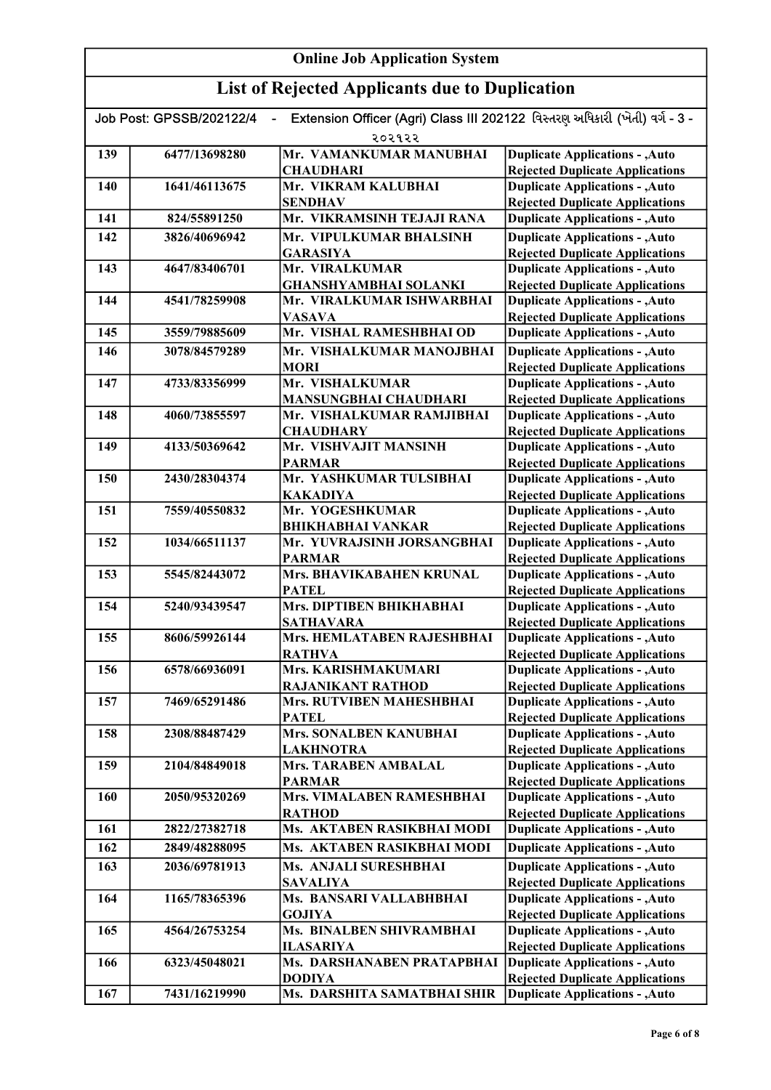# List of Rejected Applicants due to Duplication

| Extension Officer (Agri) Class III 202122 વિસ્તરણ અધિકારી (ખેતી) વર્ગ - 3 -<br>Job Post: GPSSB/202122/4<br>$\blacksquare$ |               |                                        |                                                                                  |
|---------------------------------------------------------------------------------------------------------------------------|---------------|----------------------------------------|----------------------------------------------------------------------------------|
|                                                                                                                           |               | २०२१२२                                 |                                                                                  |
| 139                                                                                                                       | 6477/13698280 | Mr. VAMANKUMAR MANUBHAI                | <b>Duplicate Applications - , Auto</b>                                           |
|                                                                                                                           |               | <b>CHAUDHARI</b>                       | <b>Rejected Duplicate Applications</b>                                           |
| 140                                                                                                                       | 1641/46113675 | Mr. VIKRAM KALUBHAI                    | <b>Duplicate Applications - , Auto</b>                                           |
|                                                                                                                           |               | <b>SENDHAV</b>                         | <b>Rejected Duplicate Applications</b>                                           |
| 141                                                                                                                       | 824/55891250  | Mr. VIKRAMSINH TEJAJI RANA             | <b>Duplicate Applications - , Auto</b>                                           |
| 142                                                                                                                       | 3826/40696942 | Mr. VIPULKUMAR BHALSINH                | <b>Duplicate Applications - , Auto</b>                                           |
|                                                                                                                           |               | <b>GARASIYA</b>                        | <b>Rejected Duplicate Applications</b>                                           |
| 143                                                                                                                       | 4647/83406701 | Mr. VIRALKUMAR                         | <b>Duplicate Applications - , Auto</b>                                           |
|                                                                                                                           |               | <b>GHANSHYAMBHAI SOLANKI</b>           | <b>Rejected Duplicate Applications</b>                                           |
| 144                                                                                                                       | 4541/78259908 | Mr. VIRALKUMAR ISHWARBHAI              | <b>Duplicate Applications - , Auto</b>                                           |
|                                                                                                                           |               | <b>VASAVA</b>                          | <b>Rejected Duplicate Applications</b>                                           |
| 145                                                                                                                       | 3559/79885609 | Mr. VISHAL RAMESHBHAI OD               | <b>Duplicate Applications - , Auto</b>                                           |
| 146                                                                                                                       | 3078/84579289 | Mr. VISHALKUMAR MANOJBHAI              | <b>Duplicate Applications - , Auto</b>                                           |
|                                                                                                                           |               | <b>MORI</b>                            | <b>Rejected Duplicate Applications</b>                                           |
| 147                                                                                                                       | 4733/83356999 | Mr. VISHALKUMAR                        | <b>Duplicate Applications - , Auto</b>                                           |
|                                                                                                                           |               | <b>MANSUNGBHAI CHAUDHARI</b>           | <b>Rejected Duplicate Applications</b>                                           |
| 148                                                                                                                       | 4060/73855597 | Mr. VISHALKUMAR RAMJIBHAI              | <b>Duplicate Applications - , Auto</b>                                           |
|                                                                                                                           |               | <b>CHAUDHARY</b>                       | <b>Rejected Duplicate Applications</b>                                           |
| 149                                                                                                                       | 4133/50369642 | Mr. VISHVAJIT MANSINH<br><b>PARMAR</b> | <b>Duplicate Applications - , Auto</b>                                           |
| 150                                                                                                                       | 2430/28304374 | Mr. YASHKUMAR TULSIBHAI                | <b>Rejected Duplicate Applications</b><br><b>Duplicate Applications - , Auto</b> |
|                                                                                                                           |               | <b>KAKADIYA</b>                        | <b>Rejected Duplicate Applications</b>                                           |
| 151                                                                                                                       | 7559/40550832 | Mr. YOGESHKUMAR                        | <b>Duplicate Applications - , Auto</b>                                           |
|                                                                                                                           |               | <b>BHIKHABHAI VANKAR</b>               | <b>Rejected Duplicate Applications</b>                                           |
| 152                                                                                                                       | 1034/66511137 | Mr. YUVRAJSINH JORSANGBHAI             | <b>Duplicate Applications - , Auto</b>                                           |
|                                                                                                                           |               | <b>PARMAR</b>                          | <b>Rejected Duplicate Applications</b>                                           |
| 153                                                                                                                       | 5545/82443072 | Mrs. BHAVIKABAHEN KRUNAL               | <b>Duplicate Applications - , Auto</b>                                           |
|                                                                                                                           |               | <b>PATEL</b>                           | <b>Rejected Duplicate Applications</b>                                           |
| 154                                                                                                                       | 5240/93439547 | Mrs. DIPTIBEN BHIKHABHAI               | <b>Duplicate Applications - , Auto</b>                                           |
|                                                                                                                           |               | <b>SATHAVARA</b>                       | <b>Rejected Duplicate Applications</b>                                           |
| 155                                                                                                                       | 8606/59926144 | Mrs. HEMLATABEN RAJESHBHAI             | <b>Duplicate Applications - , Auto</b>                                           |
|                                                                                                                           |               | <b>RATHVA</b>                          | <b>Rejected Duplicate Applications</b>                                           |
| 156                                                                                                                       | 6578/66936091 | Mrs. KARISHMAKUMARI                    | <b>Duplicate Applications - , Auto</b>                                           |
|                                                                                                                           |               | RAJANIKANT RATHOD                      | <b>Rejected Duplicate Applications</b>                                           |
| 157                                                                                                                       | 7469/65291486 | Mrs. RUTVIBEN MAHESHBHAI               | <b>Duplicate Applications - , Auto</b>                                           |
|                                                                                                                           |               | PATEL                                  | <b>Rejected Duplicate Applications</b>                                           |
| 158                                                                                                                       | 2308/88487429 | <b>Mrs. SONALBEN KANUBHAI</b>          | <b>Duplicate Applications - , Auto</b>                                           |
|                                                                                                                           |               | <b>LAKHNOTRA</b>                       | <b>Rejected Duplicate Applications</b>                                           |
| 159                                                                                                                       | 2104/84849018 | Mrs. TARABEN AMBALAL                   | <b>Duplicate Applications - , Auto</b>                                           |
|                                                                                                                           |               | <b>PARMAR</b>                          | <b>Rejected Duplicate Applications</b>                                           |
| 160                                                                                                                       | 2050/95320269 | Mrs. VIMALABEN RAMESHBHAI              | <b>Duplicate Applications - , Auto</b>                                           |
|                                                                                                                           |               | <b>RATHOD</b>                          | <b>Rejected Duplicate Applications</b>                                           |
| 161                                                                                                                       | 2822/27382718 | Ms. AKTABEN RASIKBHAI MODI             | <b>Duplicate Applications - , Auto</b>                                           |
| 162                                                                                                                       | 2849/48288095 | Ms. AKTABEN RASIKBHAI MODI             | <b>Duplicate Applications - , Auto</b>                                           |
| 163                                                                                                                       | 2036/69781913 | Ms. ANJALI SURESHBHAI                  | <b>Duplicate Applications - , Auto</b>                                           |
|                                                                                                                           |               | <b>SAVALIYA</b>                        | <b>Rejected Duplicate Applications</b>                                           |
| 164                                                                                                                       | 1165/78365396 | Ms. BANSARI VALLABHBHAI                | <b>Duplicate Applications - , Auto</b>                                           |
|                                                                                                                           |               | <b>GOJIYA</b>                          | <b>Rejected Duplicate Applications</b>                                           |
| 165                                                                                                                       | 4564/26753254 | Ms. BINALBEN SHIVRAMBHAI               | <b>Duplicate Applications - , Auto</b>                                           |
|                                                                                                                           |               | <b>ILASARIYA</b>                       | <b>Rejected Duplicate Applications</b>                                           |
| 166                                                                                                                       | 6323/45048021 | Ms. DARSHANABEN PRATAPBHAI             | <b>Duplicate Applications - , Auto</b>                                           |
|                                                                                                                           |               | <b>DODIYA</b>                          | <b>Rejected Duplicate Applications</b>                                           |
| 167                                                                                                                       | 7431/16219990 | Ms. DARSHITA SAMATBHAI SHIR            | <b>Duplicate Applications - , Auto</b>                                           |

Rejected Duplicate Applications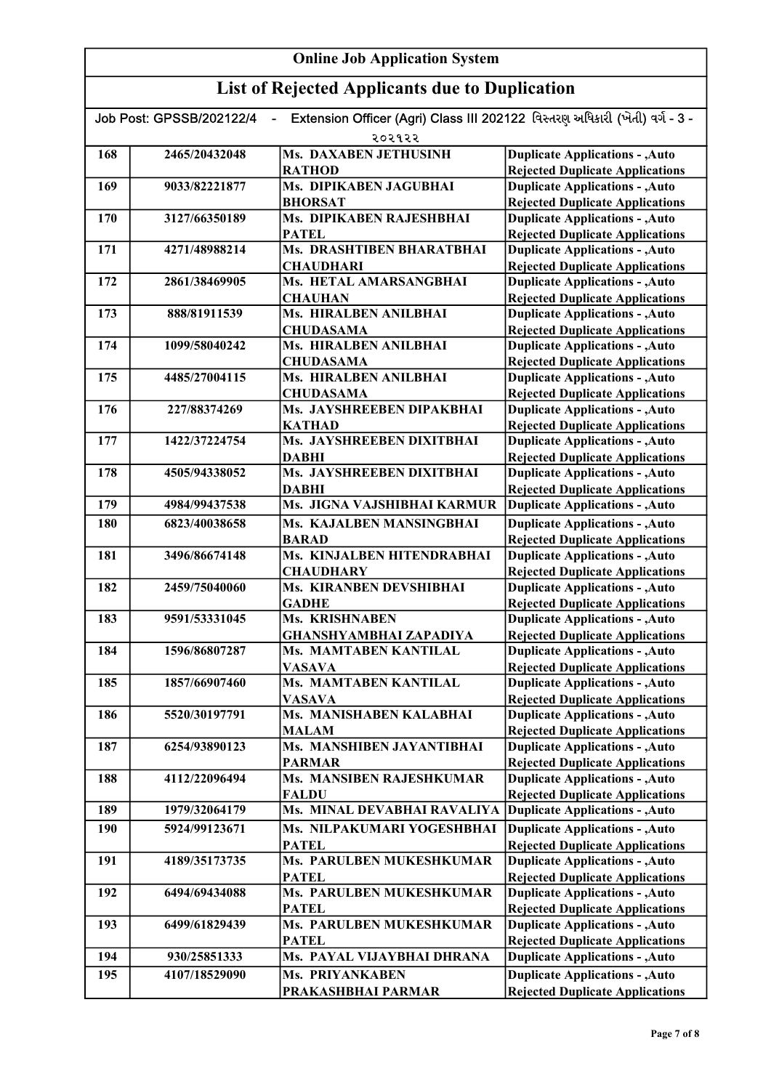| Extension Officer (Agri) Class III 202122 વિસ્તરણ અધિકારી (ખેતી) વર્ગ - 3 -<br>Job Post: GPSSB/202122/4<br>$\blacksquare$<br>૨૦૨૧૨૨ |               |                                          |                                                                                  |
|-------------------------------------------------------------------------------------------------------------------------------------|---------------|------------------------------------------|----------------------------------------------------------------------------------|
| 168                                                                                                                                 | 2465/20432048 | Ms. DAXABEN JETHUSINH                    | <b>Duplicate Applications - , Auto</b>                                           |
|                                                                                                                                     |               | <b>RATHOD</b>                            | <b>Rejected Duplicate Applications</b>                                           |
| 169                                                                                                                                 | 9033/82221877 | Ms. DIPIKABEN JAGUBHAI                   | <b>Duplicate Applications - , Auto</b>                                           |
|                                                                                                                                     |               | <b>BHORSAT</b>                           | <b>Rejected Duplicate Applications</b>                                           |
| 170                                                                                                                                 | 3127/66350189 | Ms. DIPIKABEN RAJESHBHAI                 | <b>Duplicate Applications - , Auto</b>                                           |
|                                                                                                                                     |               | <b>PATEL</b>                             | <b>Rejected Duplicate Applications</b>                                           |
| 171                                                                                                                                 | 4271/48988214 | Ms. DRASHTIBEN BHARATBHAI                | <b>Duplicate Applications - , Auto</b>                                           |
|                                                                                                                                     |               | <b>CHAUDHARI</b>                         | <b>Rejected Duplicate Applications</b>                                           |
| 172                                                                                                                                 | 2861/38469905 | Ms. HETAL AMARSANGBHAI<br><b>CHAUHAN</b> | <b>Duplicate Applications - , Auto</b>                                           |
| 173                                                                                                                                 |               | Ms. HIRALBEN ANILBHAI                    | <b>Rejected Duplicate Applications</b>                                           |
|                                                                                                                                     | 888/81911539  | <b>CHUDASAMA</b>                         | <b>Duplicate Applications - , Auto</b><br><b>Rejected Duplicate Applications</b> |
| 174                                                                                                                                 | 1099/58040242 | Ms. HIRALBEN ANILBHAI                    | <b>Duplicate Applications - , Auto</b>                                           |
|                                                                                                                                     |               | <b>CHUDASAMA</b>                         | <b>Rejected Duplicate Applications</b>                                           |
| 175                                                                                                                                 | 4485/27004115 | Ms. HIRALBEN ANILBHAI                    | <b>Duplicate Applications - , Auto</b>                                           |
|                                                                                                                                     |               | <b>CHUDASAMA</b>                         | <b>Rejected Duplicate Applications</b>                                           |
| 176                                                                                                                                 | 227/88374269  | Ms. JAYSHREEBEN DIPAKBHAI                | <b>Duplicate Applications - , Auto</b>                                           |
|                                                                                                                                     |               | <b>KATHAD</b>                            | <b>Rejected Duplicate Applications</b>                                           |
| 177                                                                                                                                 | 1422/37224754 | Ms. JAYSHREEBEN DIXITBHAI                | <b>Duplicate Applications - , Auto</b>                                           |
|                                                                                                                                     |               | <b>DABHI</b>                             | <b>Rejected Duplicate Applications</b>                                           |
| 178                                                                                                                                 | 4505/94338052 | Ms. JAYSHREEBEN DIXITBHAI                | <b>Duplicate Applications - , Auto</b>                                           |
|                                                                                                                                     |               | <b>DABHI</b>                             | <b>Rejected Duplicate Applications</b>                                           |
| 179                                                                                                                                 | 4984/99437538 | Ms. JIGNA VAJSHIBHAI KARMUR              | <b>Duplicate Applications - , Auto</b>                                           |
| 180                                                                                                                                 | 6823/40038658 | Ms. KAJALBEN MANSINGBHAI                 | <b>Duplicate Applications - , Auto</b>                                           |
|                                                                                                                                     |               | <b>BARAD</b>                             | <b>Rejected Duplicate Applications</b>                                           |
| 181                                                                                                                                 | 3496/86674148 | Ms. KINJALBEN HITENDRABHAI               | <b>Duplicate Applications - , Auto</b>                                           |
|                                                                                                                                     |               | <b>CHAUDHARY</b>                         | <b>Rejected Duplicate Applications</b>                                           |
| 182                                                                                                                                 | 2459/75040060 | Ms. KIRANBEN DEVSHIBHAI                  | <b>Duplicate Applications - , Auto</b>                                           |
|                                                                                                                                     |               | <b>GADHE</b>                             | <b>Rejected Duplicate Applications</b>                                           |
| 183                                                                                                                                 | 9591/53331045 | Ms. KRISHNABEN                           | <b>Duplicate Applications - , Auto</b>                                           |
|                                                                                                                                     |               | GHANSHYAMBHAI ZAPADIYA                   | <b>Rejected Duplicate Applications</b>                                           |
| 184                                                                                                                                 | 1596/86807287 | Ms. MAMTABEN KANTILAL                    | <b>Duplicate Applications - , Auto</b>                                           |
|                                                                                                                                     |               | <b>VASAVA</b>                            | <b>Rejected Duplicate Applications</b>                                           |
| 185                                                                                                                                 | 1857/66907460 | Ms. MAMTABEN KANTILAL                    | <b>Duplicate Applications - , Auto</b>                                           |
| 186                                                                                                                                 |               | <b>VASAVA</b><br>Ms. MANISHABEN KALABHAI | <b>Rejected Duplicate Applications</b><br><b>Duplicate Applications - , Auto</b> |
|                                                                                                                                     | 5520/30197791 | <b>MALAM</b>                             | <b>Rejected Duplicate Applications</b>                                           |
| 187                                                                                                                                 | 6254/93890123 | Ms. MANSHIBEN JAYANTIBHAI                | <b>Duplicate Applications - , Auto</b>                                           |
|                                                                                                                                     |               | <b>PARMAR</b>                            | <b>Rejected Duplicate Applications</b>                                           |
| 188                                                                                                                                 | 4112/22096494 | Ms. MANSIBEN RAJESHKUMAR                 | <b>Duplicate Applications - , Auto</b>                                           |
|                                                                                                                                     |               | <b>FALDU</b>                             | <b>Rejected Duplicate Applications</b>                                           |
| 189                                                                                                                                 | 1979/32064179 | Ms. MINAL DEVABHAI RAVALIYA              | <b>Duplicate Applications - , Auto</b>                                           |
| 190                                                                                                                                 | 5924/99123671 | Ms. NILPAKUMARI YOGESHBHAI               | <b>Duplicate Applications - , Auto</b>                                           |
|                                                                                                                                     |               | <b>PATEL</b>                             | <b>Rejected Duplicate Applications</b>                                           |
| 191                                                                                                                                 | 4189/35173735 | Ms. PARULBEN MUKESHKUMAR                 | <b>Duplicate Applications - , Auto</b>                                           |
|                                                                                                                                     |               | <b>PATEL</b>                             | <b>Rejected Duplicate Applications</b>                                           |
| 192                                                                                                                                 | 6494/69434088 | Ms. PARULBEN MUKESHKUMAR                 | <b>Duplicate Applications - , Auto</b>                                           |
|                                                                                                                                     |               | <b>PATEL</b>                             | <b>Rejected Duplicate Applications</b>                                           |
| 193                                                                                                                                 | 6499/61829439 | Ms. PARULBEN MUKESHKUMAR                 | <b>Duplicate Applications - , Auto</b>                                           |
|                                                                                                                                     |               | <b>PATEL</b>                             | <b>Rejected Duplicate Applications</b>                                           |
| 194                                                                                                                                 | 930/25851333  | Ms. PAYAL VIJAYBHAI DHRANA               | <b>Duplicate Applications - , Auto</b>                                           |
| 195                                                                                                                                 | 4107/18529090 | Ms. PRIYANKABEN                          | <b>Duplicate Applications - , Auto</b>                                           |
|                                                                                                                                     |               | PRAKASHBHAI PARMAR                       | <b>Rejected Duplicate Applications</b>                                           |